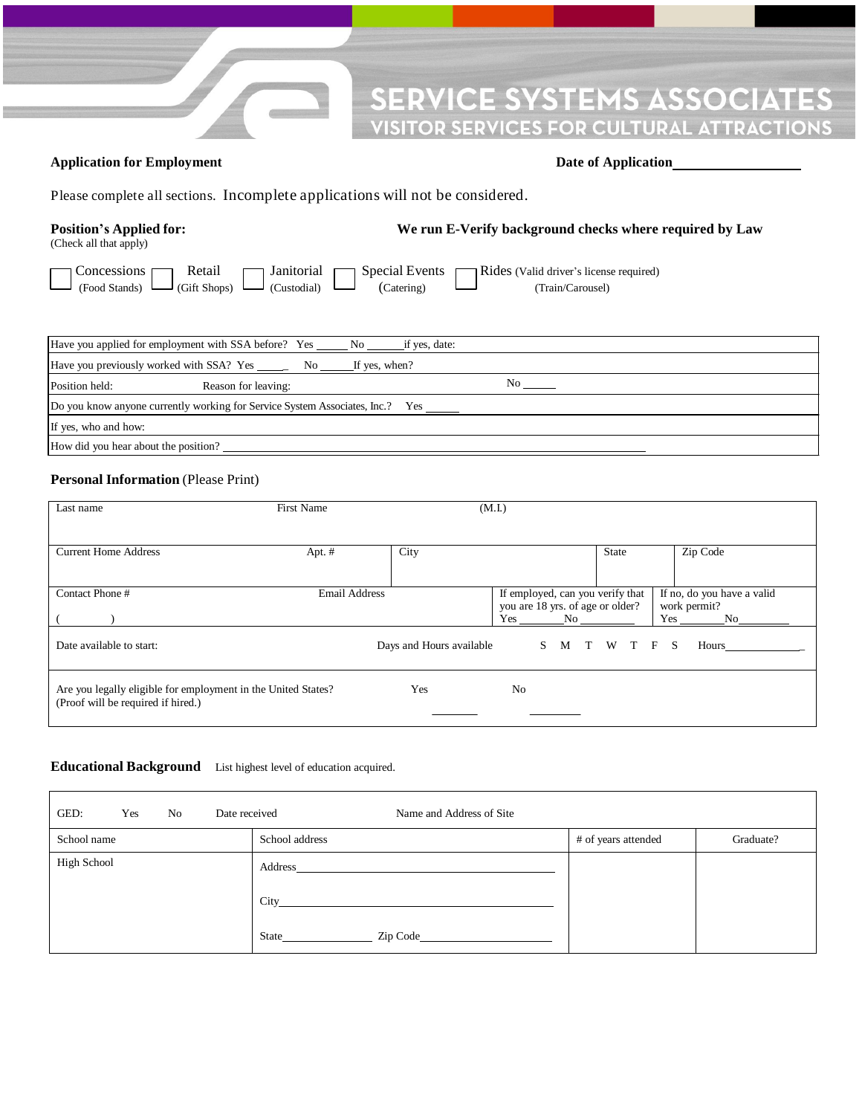#### **VICE SYSTEMS ASSOCIATES** I PA **ICES FOR CULTURAL ATTRACTIONS** SP)

### **Application for Employment Date of Application**

Please complete all sections. Incomplete applications will not be considered.

## **Position's Applied for: We run E-Verify background checks where required by Law**

| (Check all that apply) |  |  |
|------------------------|--|--|
|                        |  |  |

Concessions Retail Janitorial Special Events Rides (Valid driver's license required) (Food Stands) (Gift Shops) (Custodial) (Catering) (Train/Carousel)

| Have you applied for employment with SSA before? Yes No<br>if yes, date:      |    |  |  |  |  |  |
|-------------------------------------------------------------------------------|----|--|--|--|--|--|
| Have you previously worked with SSA? Yes ______ No<br>If yes, when?           |    |  |  |  |  |  |
| Position held:<br>Reason for leaving:                                         | No |  |  |  |  |  |
| Do you know anyone currently working for Service System Associates, Inc.? Yes |    |  |  |  |  |  |
| If yes, who and how:                                                          |    |  |  |  |  |  |
| How did you hear about the position?                                          |    |  |  |  |  |  |

#### **Personal Information** (Please Print)

| Last name                                                                                           | <b>First Name</b>    |                          | (M.I.)                                                               |           |                                            |
|-----------------------------------------------------------------------------------------------------|----------------------|--------------------------|----------------------------------------------------------------------|-----------|--------------------------------------------|
|                                                                                                     |                      |                          |                                                                      |           |                                            |
| <b>Current Home Address</b>                                                                         | Apt. #               | City                     |                                                                      | State     | Zip Code                                   |
|                                                                                                     |                      |                          |                                                                      |           |                                            |
| Contact Phone#                                                                                      | <b>Email Address</b> |                          | If employed, can you verify that<br>you are 18 yrs. of age or older? |           | If no, do you have a valid<br>work permit? |
|                                                                                                     |                      |                          | Yes<br>No.                                                           |           | Yes<br>No.                                 |
| Date available to start:                                                                            |                      | Days and Hours available | S.<br>M                                                              | T W T F S | Hours                                      |
| Are you legally eligible for employment in the United States?<br>(Proof will be required if hired.) |                      | Yes                      | N <sub>0</sub>                                                       |           |                                            |

#### **Educational Background** List highest level of education acquired.

| GED:<br>Date received<br>No<br>Yes | Name and Address of Site                                                                                                                                                                                                                     |                     |           |
|------------------------------------|----------------------------------------------------------------------------------------------------------------------------------------------------------------------------------------------------------------------------------------------|---------------------|-----------|
| School name                        | School address                                                                                                                                                                                                                               | # of years attended | Graduate? |
| <b>High School</b>                 | Address                                                                                                                                                                                                                                      |                     |           |
|                                    | City<br><u>and the state of the state of the state of the state of the state of the state of the state of the state of the state of the state of the state of the state of the state of the state of the state of the state of the state</u> |                     |           |
|                                    | Zip Code and the Code<br>State                                                                                                                                                                                                               |                     |           |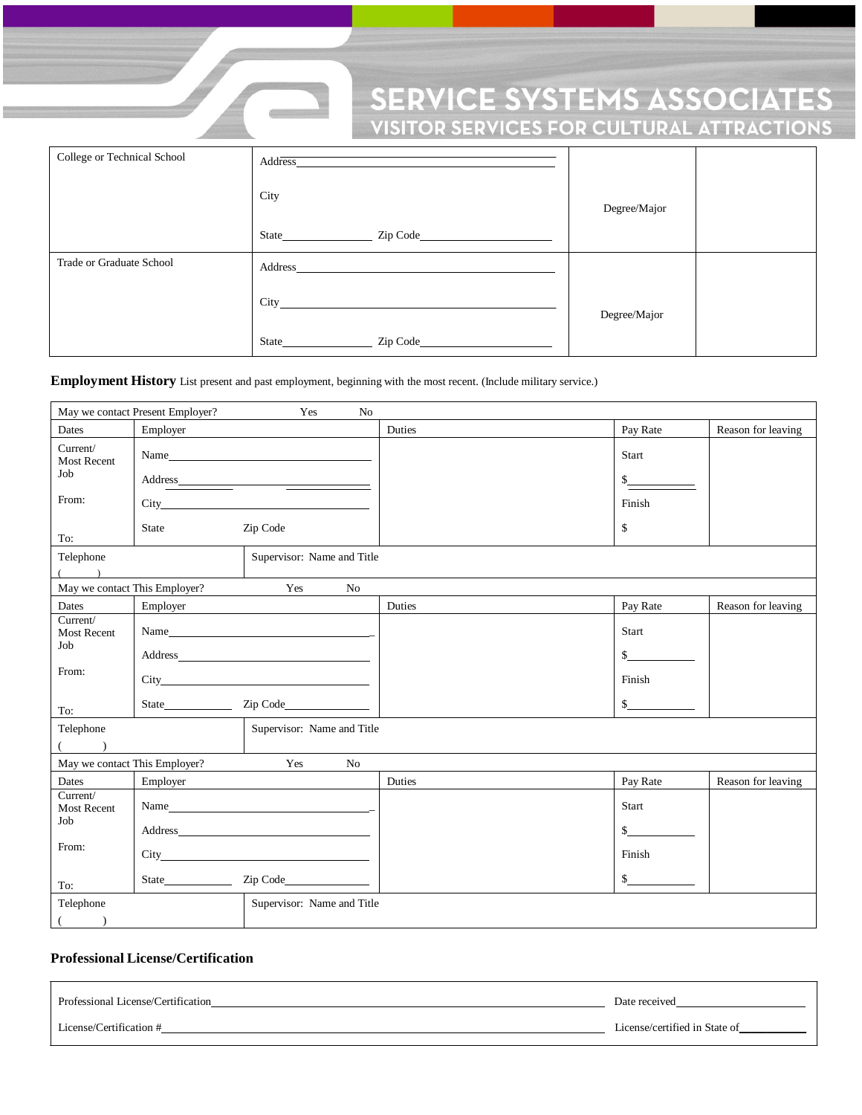# **SERVICE SYSTEMS ASSOCIATES**<br>VISITOR SERVICES FOR CULTURAL ATTRACTIONS

| College or Technical School | Address            |              |  |
|-----------------------------|--------------------|--------------|--|
|                             | City               | Degree/Major |  |
|                             | <b>State</b> State |              |  |
| Trade or Graduate School    | Address            |              |  |
|                             | <b>City</b> City   | Degree/Major |  |
|                             | <b>State</b> State |              |  |

**Employment History** List present and past employment, beginning with the most recent. (Include military service.)

 $\blacksquare$ 

| May we contact Present Employer?<br>No<br>Yes                      |                                                                                                                                                                                                                                                        |                            |        |                      |                    |
|--------------------------------------------------------------------|--------------------------------------------------------------------------------------------------------------------------------------------------------------------------------------------------------------------------------------------------------|----------------------------|--------|----------------------|--------------------|
| Dates                                                              | Employer                                                                                                                                                                                                                                               |                            | Duties | Pay Rate             | Reason for leaving |
| Current/<br><b>Most Recent</b>                                     | Name                                                                                                                                                                                                                                                   |                            |        | Start                |                    |
| Job                                                                | Address                                                                                                                                                                                                                                                |                            |        | \$                   |                    |
| From:                                                              |                                                                                                                                                                                                                                                        |                            |        | Finish               |                    |
| To:                                                                | State                                                                                                                                                                                                                                                  | Zip Code                   |        | \$                   |                    |
| Telephone                                                          |                                                                                                                                                                                                                                                        | Supervisor: Name and Title |        |                      |                    |
|                                                                    | May we contact This Employer?                                                                                                                                                                                                                          | Yes<br>No                  |        |                      |                    |
| Dates                                                              | Employer                                                                                                                                                                                                                                               |                            | Duties | Pay Rate             | Reason for leaving |
| Current/<br><b>Most Recent</b>                                     | Name<br>Zip Code<br>State                                                                                                                                                                                                                              |                            |        | Start                |                    |
| Job                                                                |                                                                                                                                                                                                                                                        |                            |        | $\mathbb{S}$         |                    |
| From:                                                              |                                                                                                                                                                                                                                                        |                            |        | Finish               |                    |
| To:                                                                |                                                                                                                                                                                                                                                        |                            |        | $\mathbb{S}$         |                    |
| Supervisor: Name and Title<br>Telephone<br>$\sqrt{2}$<br>$\lambda$ |                                                                                                                                                                                                                                                        |                            |        |                      |                    |
|                                                                    | May we contact This Employer?                                                                                                                                                                                                                          | Yes<br>No                  |        |                      |                    |
| Dates                                                              | Employer                                                                                                                                                                                                                                               |                            | Duties | Pay Rate             | Reason for leaving |
| Current/<br><b>Most Recent</b>                                     | Name<br>Address<br>$City$ and $City$ and $f$ and $f$ and $f$ and $f$ and $f$ and $f$ and $f$ and $f$ and $f$ and $f$ and $f$ and $f$ and $f$ and $f$ and $f$ and $f$ and $f$ and $f$ and $f$ and $f$ and $f$ and $f$ and $f$ and $f$ and $f$ and $f$ a |                            |        | Start                |                    |
| Job                                                                |                                                                                                                                                                                                                                                        |                            |        | $\frac{\sqrt{2}}{2}$ |                    |
| From:                                                              |                                                                                                                                                                                                                                                        |                            |        | Finish               |                    |
| To:                                                                |                                                                                                                                                                                                                                                        |                            |        | $\mathbb{S}$         |                    |
| Supervisor: Name and Title<br>Telephone                            |                                                                                                                                                                                                                                                        |                            |        |                      |                    |
| $\lambda$                                                          |                                                                                                                                                                                                                                                        |                            |        |                      |                    |

#### **Professional License/Certification**

Professional License/Certification Date received Date received License/Certification # License/certified in State of\_\_\_\_\_\_\_\_\_\_\_\_